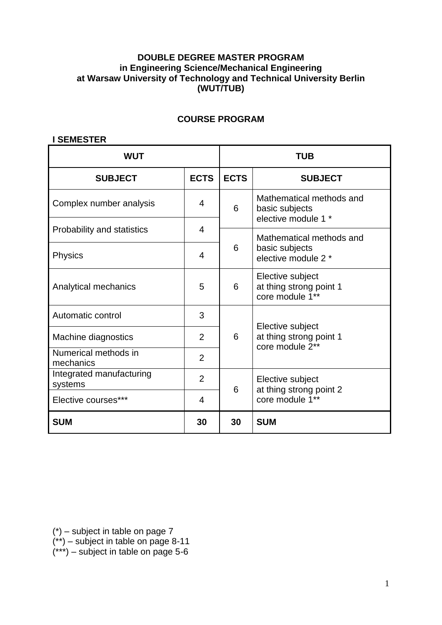### **DOUBLE DEGREE MASTER PROGRAM in Engineering Science/Mechanical Engineering at Warsaw University of Technology and Technical University Berlin (WUT/TUB)**

### **COURSE PROGRAM**

#### **I SEMESTER**

| <b>WUT</b>                          |                | TUB             |                                                                   |
|-------------------------------------|----------------|-----------------|-------------------------------------------------------------------|
| <b>SUBJECT</b>                      | <b>ECTS</b>    | <b>ECTS</b>     | <b>SUBJECT</b>                                                    |
| Complex number analysis             | $\overline{4}$ | 6               | Mathematical methods and<br>basic subjects<br>elective module 1 * |
| Probability and statistics          | $\overline{4}$ |                 | Mathematical methods and                                          |
| <b>Physics</b>                      | 4              | 6               | basic subjects<br>elective module 2 *                             |
| Analytical mechanics                | 5              | 6               | Elective subject<br>at thing strong point 1<br>core module 1**    |
| Automatic control                   | 3              |                 |                                                                   |
| Machine diagnostics                 | 2              | 6               | Elective subject<br>at thing strong point 1<br>core module 2**    |
| Numerical methods in<br>mechanics   | $\overline{2}$ |                 |                                                                   |
| Integrated manufacturing<br>systems | $\overline{2}$ | 6               | Elective subject<br>at thing strong point 2                       |
| Elective courses***                 | $\overline{4}$ | core module 1** |                                                                   |
| <b>SUM</b>                          | 30             | 30              | <b>SUM</b>                                                        |

(\*) – subject in table on page 7

(\*\*) – subject in table on page 8-11

(\*\*\*) – subject in table on page 5-6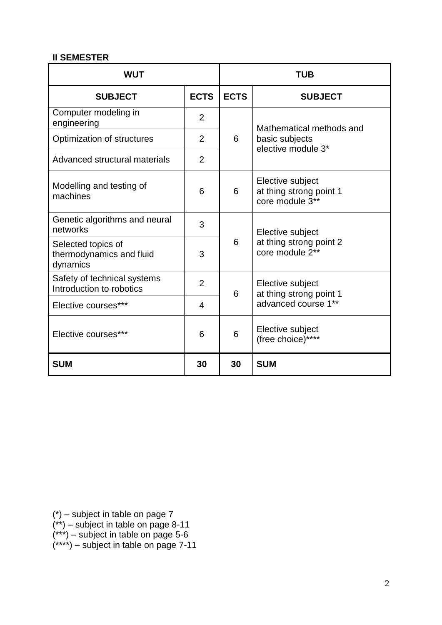### **II SEMESTER**

| <b>WUT</b>                                                 |                | <b>TUB</b>  |                                                                |
|------------------------------------------------------------|----------------|-------------|----------------------------------------------------------------|
| <b>SUBJECT</b>                                             | <b>ECTS</b>    | <b>ECTS</b> | <b>SUBJECT</b>                                                 |
| Computer modeling in<br>engineering                        | $\overline{2}$ |             | Mathematical methods and                                       |
| Optimization of structures                                 | $\overline{2}$ | 6           | basic subjects<br>elective module 3*                           |
| Advanced structural materials                              | $\overline{2}$ |             |                                                                |
| Modelling and testing of<br>machines                       | 6              | 6           | Elective subject<br>at thing strong point 1<br>core module 3** |
| Genetic algorithms and neural<br>networks                  | 3              |             | Elective subject                                               |
| Selected topics of<br>thermodynamics and fluid<br>dynamics | 3              | 6           | at thing strong point 2<br>core module 2**                     |
| Safety of technical systems<br>Introduction to robotics    | $\overline{2}$ | 6           | Elective subject<br>at thing strong point 1                    |
| Elective courses***                                        | $\overline{4}$ |             | advanced course 1**                                            |
| Elective courses***                                        | 6              | 6           | Elective subject<br>(free choice)****                          |
| <b>SUM</b>                                                 | 30             | 30          | <b>SUM</b>                                                     |

(\*) – subject in table on page 7

- (\*\*) subject in table on page 8-11
- (\*\*\*) subject in table on page 5-6
- (\*\*\*\*) subject in table on page 7-11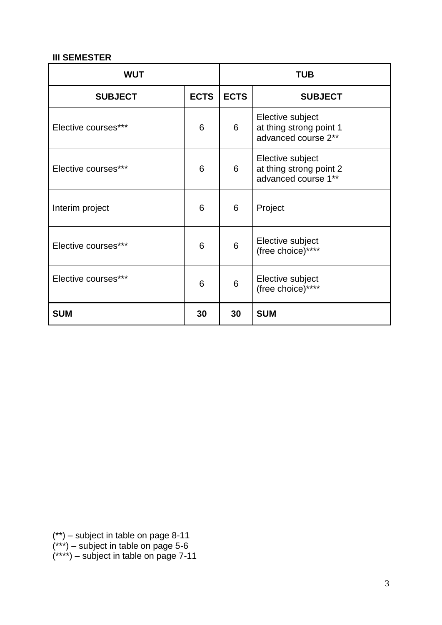# **III SEMESTER**

| <b>WUT</b>          |             | <b>TUB</b>  |                                                                    |
|---------------------|-------------|-------------|--------------------------------------------------------------------|
| <b>SUBJECT</b>      | <b>ECTS</b> | <b>ECTS</b> | <b>SUBJECT</b>                                                     |
| Elective courses*** | 6           | 6           | Elective subject<br>at thing strong point 1<br>advanced course 2** |
| Elective courses*** | 6           | 6           | Elective subject<br>at thing strong point 2<br>advanced course 1** |
| Interim project     | 6           | 6           | Project                                                            |
| Elective courses*** | 6           | 6           | Elective subject<br>(free choice)****                              |
| Elective courses*** | 6           | 6           | Elective subject<br>(free choice)****                              |
| <b>SUM</b>          | 30          | 30          | <b>SUM</b>                                                         |

(\*\*) – subject in table on page 8-11 (\*\*\*) – subject in table on page 5-6 (\*\*\*\*) – subject in table on page 7-11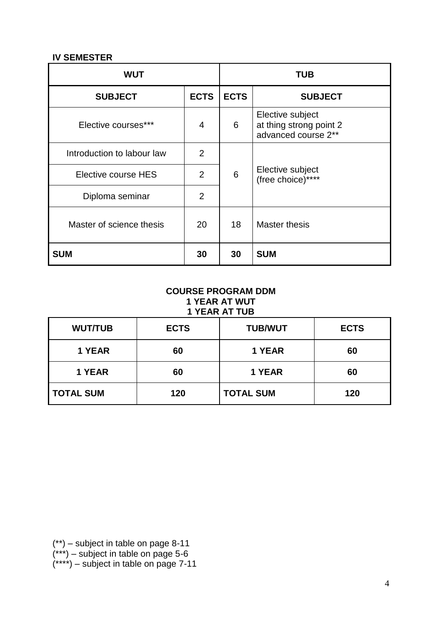### **IV SEMESTER**

| <b>WUT</b>                 |                |             | <b>TUB</b>                                                         |
|----------------------------|----------------|-------------|--------------------------------------------------------------------|
| <b>SUBJECT</b>             | <b>ECTS</b>    | <b>ECTS</b> | <b>SUBJECT</b>                                                     |
| Elective courses***        | 4              | 6           | Elective subject<br>at thing strong point 2<br>advanced course 2** |
| Introduction to labour law | 2              |             |                                                                    |
| Elective course HES        | 2              | 6           | Elective subject<br>(free choice)****                              |
| Diploma seminar            | $\overline{2}$ |             |                                                                    |
| Master of science thesis   | 20             | 18          | <b>Master thesis</b>                                               |
| <b>SUM</b>                 | 30             | 30          | <b>SUM</b>                                                         |

#### **COURSE PROGRAM DDM 1 YEAR AT WUT 1 YEAR AT TUB**

| <b>WUT/TUB</b>   | <b>ECTS</b> | <b>TUB/WUT</b>   | <b>ECTS</b> |
|------------------|-------------|------------------|-------------|
| 1 YEAR           | 60          | 1 YEAR           | 60          |
| 1 YEAR           | 60          | 1 YEAR           | 60          |
| <b>TOTAL SUM</b> | 120         | <b>TOTAL SUM</b> | 120         |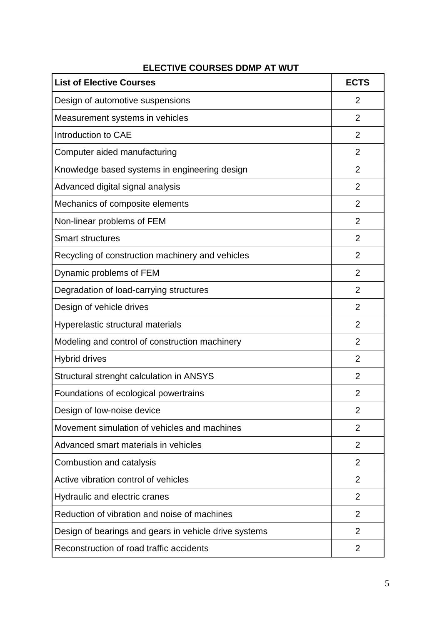# **ELECTIVE COURSES DDMP AT WUT**

| <b>List of Elective Courses</b>                       | <b>ECTS</b>    |
|-------------------------------------------------------|----------------|
| Design of automotive suspensions                      | $\overline{2}$ |
| Measurement systems in vehicles                       | $\overline{2}$ |
| Introduction to CAE                                   | $\overline{2}$ |
| Computer aided manufacturing                          | $\overline{2}$ |
| Knowledge based systems in engineering design         | $\overline{2}$ |
| Advanced digital signal analysis                      | $\overline{2}$ |
| Mechanics of composite elements                       | $\overline{2}$ |
| Non-linear problems of FEM                            | $\overline{2}$ |
| <b>Smart structures</b>                               | $\overline{2}$ |
| Recycling of construction machinery and vehicles      | $\overline{2}$ |
| Dynamic problems of FEM                               | $\overline{2}$ |
| Degradation of load-carrying structures               | $\overline{2}$ |
| Design of vehicle drives                              | $\overline{2}$ |
| Hyperelastic structural materials                     | $\overline{2}$ |
| Modeling and control of construction machinery        | $\overline{2}$ |
| <b>Hybrid drives</b>                                  | $\overline{2}$ |
| Structural strenght calculation in ANSYS              | $\overline{2}$ |
| Foundations of ecological powertrains                 | 2              |
| Design of low-noise device                            | 2              |
| Movement simulation of vehicles and machines          | $\overline{2}$ |
| Advanced smart materials in vehicles                  | $\overline{2}$ |
| Combustion and catalysis                              | $\overline{2}$ |
| Active vibration control of vehicles                  | 2              |
| Hydraulic and electric cranes                         | $\overline{2}$ |
| Reduction of vibration and noise of machines          | $\overline{2}$ |
| Design of bearings and gears in vehicle drive systems | $\overline{2}$ |
| Reconstruction of road traffic accidents              | $\overline{2}$ |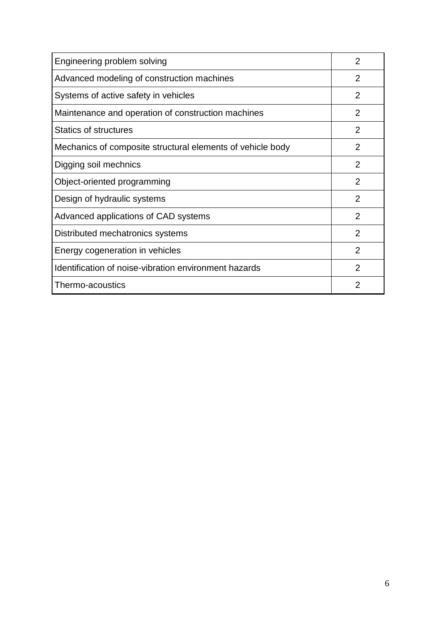| Engineering problem solving                                | 2              |
|------------------------------------------------------------|----------------|
| Advanced modeling of construction machines                 | $\overline{2}$ |
| Systems of active safety in vehicles                       | $\overline{2}$ |
| Maintenance and operation of construction machines         | $\overline{2}$ |
| <b>Statics of structures</b>                               | 2              |
| Mechanics of composite structural elements of vehicle body | $\overline{2}$ |
| Digging soil mechnics                                      | 2              |
| Object-oriented programming                                | 2              |
| Design of hydraulic systems                                | 2              |
| Advanced applications of CAD systems                       | 2              |
| Distributed mechatronics systems                           | 2              |
| Energy cogeneration in vehicles                            | 2              |
| Identification of noise-vibration environment hazards      | $\overline{2}$ |
| Thermo-acoustics                                           | 2              |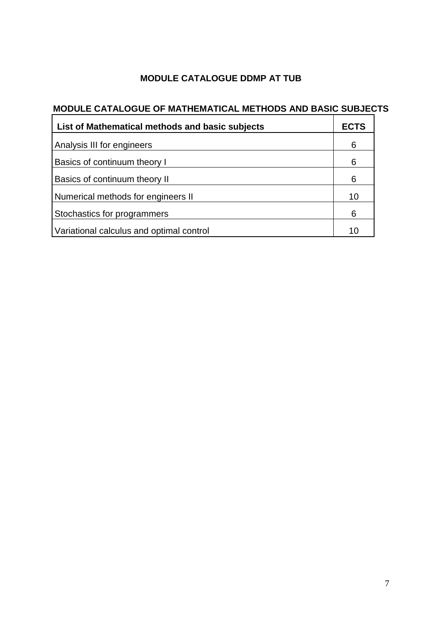# **MODULE CATALOGUE DDMP AT TUB**

# **MODULE CATALOGUE OF MATHEMATICAL METHODS AND BASIC SUBJECTS**

| List of Mathematical methods and basic subjects | <b>ECTS</b> |
|-------------------------------------------------|-------------|
| Analysis III for engineers                      | 6           |
| Basics of continuum theory I                    | 6           |
| Basics of continuum theory II                   | 6           |
| Numerical methods for engineers II              | 10          |
| Stochastics for programmers                     | 6           |
| Variational calculus and optimal control        | 10          |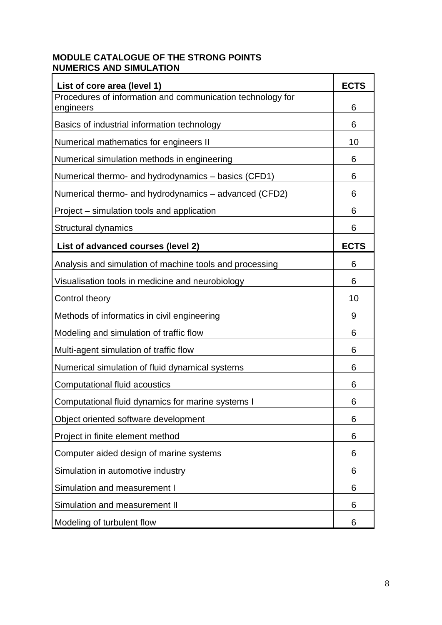# **MODULE CATALOGUE OF THE STRONG POINTS NUMERICS AND SIMULATION**

| List of core area (level 1)                                             | <b>ECTS</b> |
|-------------------------------------------------------------------------|-------------|
| Procedures of information and communication technology for<br>engineers | 6           |
| Basics of industrial information technology                             | 6           |
| Numerical mathematics for engineers II                                  | 10          |
| Numerical simulation methods in engineering                             | 6           |
| Numerical thermo- and hydrodynamics - basics (CFD1)                     | 6           |
| Numerical thermo- and hydrodynamics – advanced (CFD2)                   | 6           |
| Project – simulation tools and application                              | 6           |
| Structural dynamics                                                     | 6           |
| List of advanced courses (level 2)                                      | <b>ECTS</b> |
| Analysis and simulation of machine tools and processing                 | 6           |
| Visualisation tools in medicine and neurobiology                        | 6           |
| Control theory                                                          | 10          |
| Methods of informatics in civil engineering                             | 9           |
| Modeling and simulation of traffic flow                                 | 6           |
| Multi-agent simulation of traffic flow                                  | 6           |
| Numerical simulation of fluid dynamical systems                         | 6           |
| Computational fluid acoustics                                           | 6           |
| Computational fluid dynamics for marine systems I                       | 6           |
| Object oriented software development                                    | 6           |
| Project in finite element method                                        | 6           |
| Computer aided design of marine systems                                 | 6           |
| Simulation in automotive industry                                       | 6           |
| Simulation and measurement I                                            | 6           |
| Simulation and measurement II                                           | 6           |
| Modeling of turbulent flow                                              | 6           |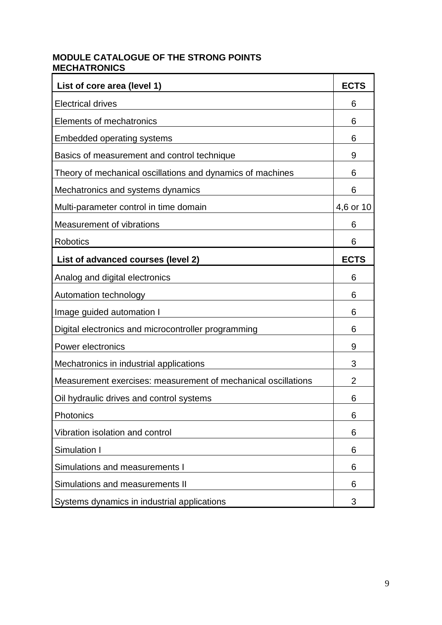# **MODULE CATALOGUE OF THE STRONG POINTS MECHATRONICS**

| List of core area (level 1)                                   | <b>ECTS</b>    |
|---------------------------------------------------------------|----------------|
| <b>Electrical drives</b>                                      | 6              |
| Elements of mechatronics                                      | 6              |
| <b>Embedded operating systems</b>                             | 6              |
| Basics of measurement and control technique                   | 9              |
| Theory of mechanical oscillations and dynamics of machines    | 6              |
| Mechatronics and systems dynamics                             | 6              |
| Multi-parameter control in time domain                        | 4,6 or 10      |
| Measurement of vibrations                                     | 6              |
| Robotics                                                      | 6              |
| List of advanced courses (level 2)                            | <b>ECTS</b>    |
| Analog and digital electronics                                | 6              |
| Automation technology                                         | 6              |
| Image guided automation I                                     | 6              |
| Digital electronics and microcontroller programming           | 6              |
| <b>Power electronics</b>                                      | 9              |
| Mechatronics in industrial applications                       | 3              |
| Measurement exercises: measurement of mechanical oscillations | $\overline{2}$ |
| Oil hydraulic drives and control systems                      | 6              |
| Photonics                                                     | 6              |
| Vibration isolation and control                               | 6              |
| Simulation I                                                  | 6              |
| Simulations and measurements I                                | 6              |
| Simulations and measurements II                               | 6              |
| Systems dynamics in industrial applications                   | 3              |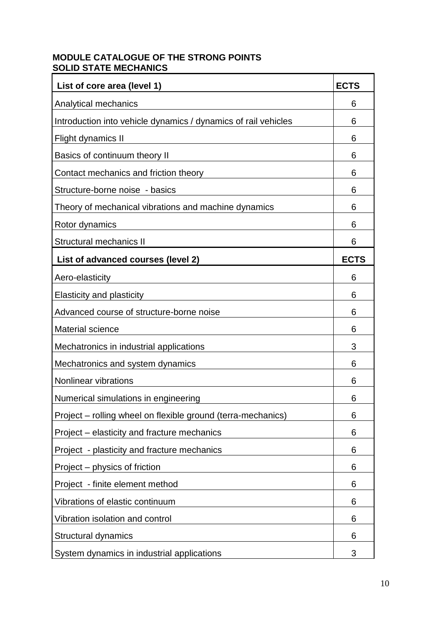# **MODULE CATALOGUE OF THE STRONG POINTS SOLID STATE MECHANICS**

| List of core area (level 1)                                    | <b>ECTS</b> |
|----------------------------------------------------------------|-------------|
| Analytical mechanics                                           | 6           |
| Introduction into vehicle dynamics / dynamics of rail vehicles | 6           |
| Flight dynamics II                                             | 6           |
| Basics of continuum theory II                                  | 6           |
| Contact mechanics and friction theory                          | 6           |
| Structure-borne noise - basics                                 | 6           |
| Theory of mechanical vibrations and machine dynamics           | 6           |
| Rotor dynamics                                                 | 6           |
| <b>Structural mechanics II</b>                                 | 6           |
| List of advanced courses (level 2)                             | <b>ECTS</b> |
| Aero-elasticity                                                | 6           |
| <b>Elasticity and plasticity</b>                               | 6           |
| Advanced course of structure-borne noise                       | 6           |
| <b>Material science</b>                                        | 6           |
| Mechatronics in industrial applications                        | 3           |
| Mechatronics and system dynamics                               | 6           |
| <b>Nonlinear vibrations</b>                                    | 6           |
| Numerical simulations in engineering                           | 6           |
| Project – rolling wheel on flexible ground (terra-mechanics)   | 6           |
| Project – elasticity and fracture mechanics                    | 6           |
| Project - plasticity and fracture mechanics                    | 6           |
| Project – physics of friction                                  | 6           |
| Project - finite element method                                | 6           |
| Vibrations of elastic continuum                                | 6           |
| Vibration isolation and control                                | 6           |
| Structural dynamics                                            | 6           |
| System dynamics in industrial applications                     | 3           |